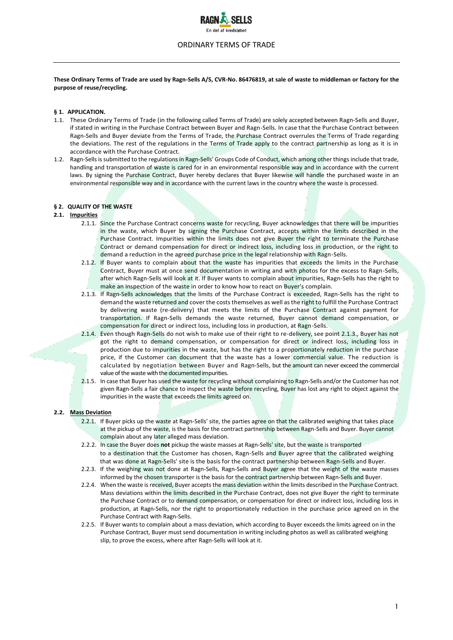

# ORDINARY TERMS OF TRADE

**These Ordinary Terms of Trade are used by Ragn-Sells A/S, CVR-No. 86476819, at sale of waste to middleman or factory for the purpose of reuse/recycling.**

# **§ 1. APPLICATION.**

- 1.1. These Ordinary Terms of Trade (in the following called Terms of Trade) are solely accepted between Ragn-Sells and Buyer, if stated in writing in the Purchase Contract between Buyer and Ragn-Sells. In case that the Purchase Contract between Ragn-Sells and Buyer deviate from the Terms of Trade, the Purchase Contract overrules the Terms of Trade regarding the deviations. The rest of the regulations in the Terms of Trade apply to the contract partnership as long as it is in accordance with the Purchase Contract.
- 1.2. Ragn-Sells is submitted to the regulations in Ragn-Sells' Groups Code of Conduct, which among other things include that trade, handling and transportation of waste is cared for in an environmental responsible way and in accordance with the current laws. By signing the Purchase Contract, Buyer hereby declares that Buyer likewise will handle the purchased waste in an environmental responsible way and in accordance with the current laws in the country where the waste is processed.

## **§ 2. QUALITY OF THE WASTE**

## **2.1. Impurities**

- 2.1.1. Since the Purchase Contract concerns waste for recycling, Buyer acknowledges that there will be impurities in the waste, which Buyer by signing the Purchase Contract, accepts within the limits described in the Purchase Contract. Impurities within the limits does not give Buyer the right to terminate the Purchase Contract or demand compensation for direct or indirect loss, including loss in production, or the right to demand a reduction in the agreed purchase price in the legal relationship with Ragn-Sells.
- 2.1.2. If Buyer wants to complain about that the waste has impurities that exceeds the limits in the Purchase Contract, Buyer must at once send documentation in writing and with photos for the excess to Ragn-Sells, after which Ragn-Sells will look at it. If Buyer wants to complain about impurities, Ragn-Sells has the right to make an inspection of the waste in order to know how to react on Buyer's complain.
- 2.1.3. If Ragn-Sells acknowledges that the limits of the Purchase Contract is exceeded, Ragn-Sells has the right to demand the waste returned and cover the costs themselves as well as the right to fulfill the Purchase Contract by delivering waste (re-delivery) that meets the limits of the Purchase Contract against payment for transportation. If Ragn-Sells demands the waste returned, Buyer cannot demand compensation, or compensation for direct or indirect loss, including loss in production, at Ragn-Sells.
- 2.1.4. Even though Ragn-Sells do not wish to make use of their right to re-delivery, see point 2.1.3., Buyer has not got the right to demand compensation, or compensation for direct or indirect loss, including loss in production due to impurities in the waste, but has the right to a proportionately reduction in the purchase price, if the Customer can document that the waste has a lower commercial value. The reduction is calculated by negotiation between Buyer and Ragn-Sells, but the amount can never exceed the commercial value of the waste with the documented impurities.
- 2.1.5. In case that Buyer has used the waste for recycling without complaining to Ragn-Sells and/or the Customer has not given Ragn-Sells a fair chance to inspect the waste before recycling, Buyer has lost any right to object against the impurities in the waste that exceeds the limits agreed on.

# **2.2. Mass Deviation**

- 2.2.1. If Buyer picks up the waste at Ragn-Sells' site, the parties agree on that the calibrated weighing that takes place at the pickup of the waste, is the basis for the contract partnership between Ragn-Sells and Buyer. Buyer cannot complain about any later alleged mass deviation.
- 2.2.2. In case the Buyer does **not** pickup the waste masses at Ragn-Sells' site, but the waste is transported to a destination that the Customer has chosen, Ragn-Sells and Buyer agree that the calibrated weighing that was done at Ragn-Sells' site is the basis for the contract partnership between Ragn-Sells and Buyer.
- 2.2.3. If the weighing was not done at Ragn-Sells, Ragn-Sells and Buyer agree that the weight of the waste masses informed by the chosen transporter is the basis for the contract partnership between Ragn-Sells and Buyer.
- 2.2.4. When the waste is received, Buyer accepts the mass deviation within the limits described in the Purchase Contract. Mass deviations within the limits described in the Purchase Contract, does not give Buyer the right to terminate the Purchase Contract or to demand compensation, or compensation for direct or indirect loss, including loss in production, at Ragn-Sells, nor the right to proportionately reduction in the purchase price agreed on in the Purchase Contract with Ragn-SelIs.
- 2.2.5. If Buyer wants to complain about a mass deviation, which according to Buyer exceeds the limits agreed on in the Purchase Contract, Buyer must send documentation in writing including photos as well as calibrated weighing slip, to prove the excess, where after Ragn-Sells will look at it.